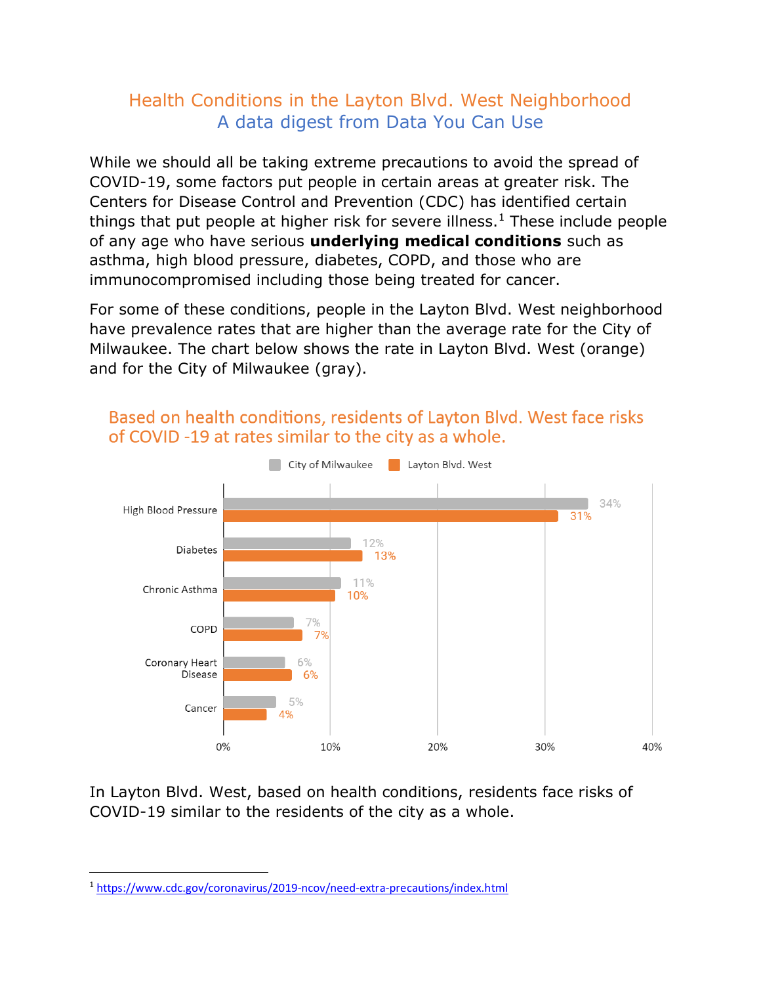## Health Conditions in the Layton Blvd. West Neighborhood A data digest from Data You Can Use

While we should all be taking extreme precautions to avoid the spread of COVID-19, some factors put people in certain areas at greater risk. The Centers for Disease Control and Prevention (CDC) has identified certain things that put people at higher risk for severe illness.<sup>1</sup> These include people of any age who have serious **underlying medical conditions** such as asthma, high blood pressure, diabetes, COPD, and those who are immunocompromised including those being treated for cancer.

For some of these conditions, people in the Layton Blvd. West neighborhood have prevalence rates that are higher than the average rate for the City of Milwaukee. The chart below shows the rate in Layton Blvd. West (orange) and for the City of Milwaukee (gray).



## Based on health conditions, residents of Layton Blyd. West face risks of COVID-19 at rates similar to the city as a whole.

In Layton Blvd. West, based on health conditions, residents face risks of COVID-19 similar to the residents of the city as a whole.

<sup>1</sup> <https://www.cdc.gov/coronavirus/2019-ncov/need-extra-precautions/index.html>